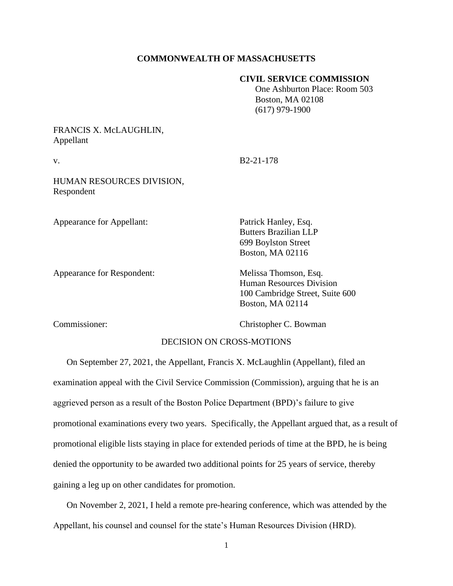### **COMMONWEALTH OF MASSACHUSETTS**

### **CIVIL SERVICE COMMISSION**

 One Ashburton Place: Room 503 Boston, MA 02108 (617) 979-1900

FRANCIS X. McLAUGHLIN, Appellant

v. B2-21-178

HUMAN RESOURCES DIVISION, Respondent

Appearance for Appellant: Patrick Hanley, Esq.

Appearance for Respondent: Melissa Thomson, Esq.

Butters Brazilian LLP 699 Boylston Street Boston, MA 02116

Human Resources Division 100 Cambridge Street, Suite 600 Boston, MA 02114

Commissioner: Christopher C. Bowman

# DECISION ON CROSS-MOTIONS

On September 27, 2021, the Appellant, Francis X. McLaughlin (Appellant), filed an examination appeal with the Civil Service Commission (Commission), arguing that he is an aggrieved person as a result of the Boston Police Department (BPD)'s failure to give promotional examinations every two years. Specifically, the Appellant argued that, as a result of promotional eligible lists staying in place for extended periods of time at the BPD, he is being denied the opportunity to be awarded two additional points for 25 years of service, thereby gaining a leg up on other candidates for promotion.

On November 2, 2021, I held a remote pre-hearing conference, which was attended by the Appellant, his counsel and counsel for the state's Human Resources Division (HRD).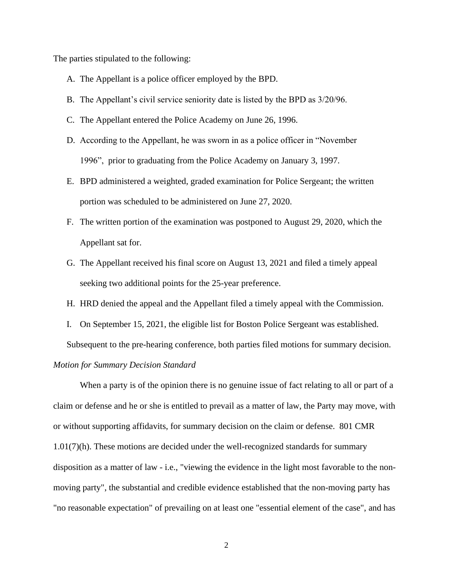The parties stipulated to the following:

- A. The Appellant is a police officer employed by the BPD.
- B. The Appellant's civil service seniority date is listed by the BPD as 3/20/96.
- C. The Appellant entered the Police Academy on June 26, 1996.
- D. According to the Appellant, he was sworn in as a police officer in "November 1996", prior to graduating from the Police Academy on January 3, 1997.
- E. BPD administered a weighted, graded examination for Police Sergeant; the written portion was scheduled to be administered on June 27, 2020.
- F. The written portion of the examination was postponed to August 29, 2020, which the Appellant sat for.
- G. The Appellant received his final score on August 13, 2021 and filed a timely appeal seeking two additional points for the 25-year preference.
- H. HRD denied the appeal and the Appellant filed a timely appeal with the Commission.
- I. On September 15, 2021, the eligible list for Boston Police Sergeant was established.

Subsequent to the pre-hearing conference, both parties filed motions for summary decision.

## *Motion for Summary Decision Standard*

When a party is of the opinion there is no genuine issue of fact relating to all or part of a claim or defense and he or she is entitled to prevail as a matter of law, the Party may move, with or without supporting affidavits, for summary decision on the claim or defense. 801 CMR 1.01(7)(h). These motions are decided under the well-recognized standards for summary disposition as a matter of law - i.e., "viewing the evidence in the light most favorable to the nonmoving party", the substantial and credible evidence established that the non-moving party has "no reasonable expectation" of prevailing on at least one "essential element of the case", and has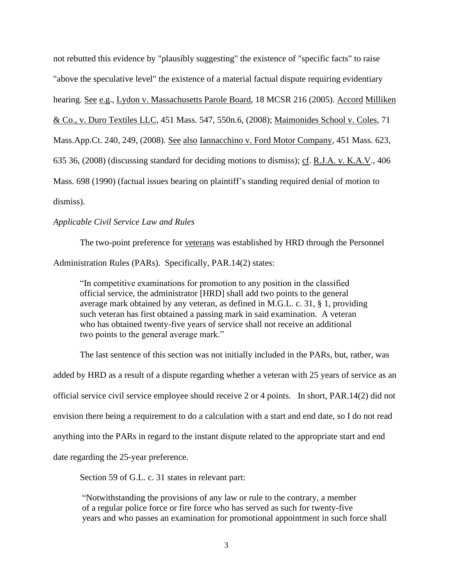not rebutted this evidence by "plausibly suggesting" the existence of "specific facts" to raise "above the speculative level" the existence of a material factual dispute requiring evidentiary hearing. See e.g., Lydon v. Massachusetts Parole Board, 18 MCSR 216 (2005). Accord Milliken & Co., v. Duro Textiles LLC, [451 Mass. 547,](http://sll.gvpi.net/document.php?field=jd&value=sjcapp:451_mass._547) 550n.6, (2008); Maimonides School v. Coles, 71 Mass.App.Ct. 240, 249, (2008). See also Iannacchino v. Ford Motor Company, [451 Mass. 623,](http://sll.gvpi.net/document.php?field=jd&value=sjcapp:451_mass._623) 635 36, (2008) (discussing standard for deciding motions to dismiss); cf. R.J.A. v. K.A.V., [406](http://sll.gvpi.net/document.php?field=jd&value=sjcapp:406_mass._698)  [Mass. 698](http://sll.gvpi.net/document.php?field=jd&value=sjcapp:406_mass._698) (1990) (factual issues bearing on plaintiff's standing required denial of motion to dismiss).

## *Applicable Civil Service Law and Rules*

The two-point preference for veterans was established by HRD through the Personnel Administration Rules (PARs). Specifically, PAR.14(2) states:

"In competitive examinations for promotion to any position in the classified official service, the administrator [HRD] shall add two points to the general average mark obtained by any veteran, as defined in M.G.L. c. 31, § 1, providing such veteran has first obtained a passing mark in said examination. A veteran who has obtained twenty-five years of service shall not receive an additional two points to the general average mark."

The last sentence of this section was not initially included in the PARs, but, rather, was added by HRD as a result of a dispute regarding whether a veteran with 25 years of service as an official service civil service employee should receive 2 or 4 points. In short, PAR.14(2) did not envision there being a requirement to do a calculation with a start and end date, so I do not read anything into the PARs in regard to the instant dispute related to the appropriate start and end date regarding the 25-year preference.

Section 59 of G.L. c. 31 states in relevant part:

"Notwithstanding the provisions of any law or rule to the contrary, a member of a regular police force or fire force who has served as such for twenty-five years and who passes an examination for promotional appointment in such force shall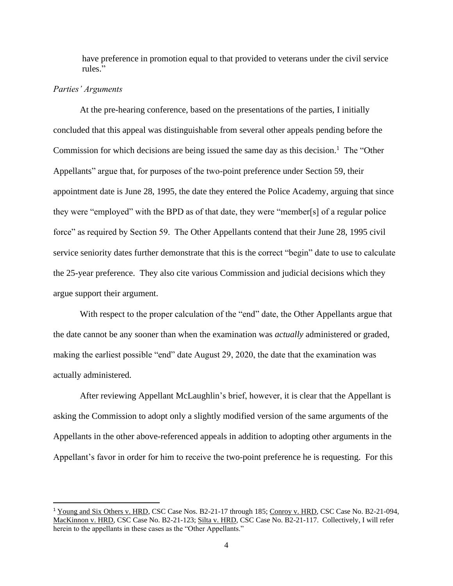have preference in promotion equal to that provided to veterans under the civil service rules."

#### *Parties' Arguments*

At the pre-hearing conference, based on the presentations of the parties, I initially concluded that this appeal was distinguishable from several other appeals pending before the Commission for which decisions are being issued the same day as this decision.<sup>1</sup> The "Other Appellants" argue that, for purposes of the two-point preference under Section 59, their appointment date is June 28, 1995, the date they entered the Police Academy, arguing that since they were "employed" with the BPD as of that date, they were "member[s] of a regular police force" as required by Section 59. The Other Appellants contend that their June 28, 1995 civil service seniority dates further demonstrate that this is the correct "begin" date to use to calculate the 25-year preference. They also cite various Commission and judicial decisions which they argue support their argument.

With respect to the proper calculation of the "end" date, the Other Appellants argue that the date cannot be any sooner than when the examination was *actually* administered or graded, making the earliest possible "end" date August 29, 2020, the date that the examination was actually administered.

After reviewing Appellant McLaughlin's brief, however, it is clear that the Appellant is asking the Commission to adopt only a slightly modified version of the same arguments of the Appellants in the other above-referenced appeals in addition to adopting other arguments in the Appellant's favor in order for him to receive the two-point preference he is requesting. For this

<sup>1</sup> Young and Six Others v. HRD, CSC Case Nos. B2-21-17 through 185; Conroy v. HRD, CSC Case No. B2-21-094, MacKinnon v. HRD, CSC Case No. B2-21-123; Silta v. HRD, CSC Case No. B2-21-117. Collectively, I will refer herein to the appellants in these cases as the "Other Appellants."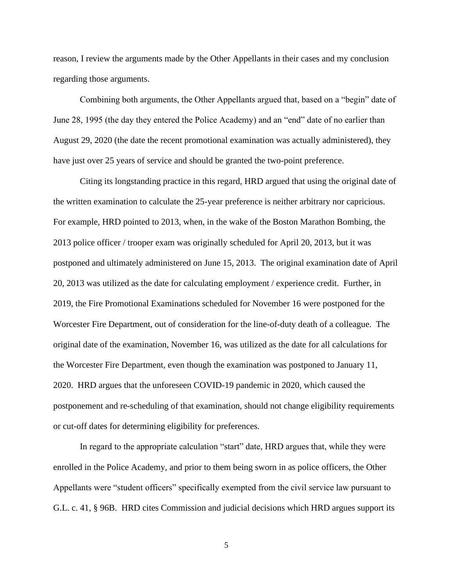reason, I review the arguments made by the Other Appellants in their cases and my conclusion regarding those arguments.

Combining both arguments, the Other Appellants argued that, based on a "begin" date of June 28, 1995 (the day they entered the Police Academy) and an "end" date of no earlier than August 29, 2020 (the date the recent promotional examination was actually administered), they have just over 25 years of service and should be granted the two-point preference.

Citing its longstanding practice in this regard, HRD argued that using the original date of the written examination to calculate the 25-year preference is neither arbitrary nor capricious. For example, HRD pointed to 2013, when, in the wake of the Boston Marathon Bombing, the 2013 police officer / trooper exam was originally scheduled for April 20, 2013, but it was postponed and ultimately administered on June 15, 2013. The original examination date of April 20, 2013 was utilized as the date for calculating employment / experience credit. Further, in 2019, the Fire Promotional Examinations scheduled for November 16 were postponed for the Worcester Fire Department, out of consideration for the line-of-duty death of a colleague. The original date of the examination, November 16, was utilized as the date for all calculations for the Worcester Fire Department, even though the examination was postponed to January 11, 2020. HRD argues that the unforeseen COVID-19 pandemic in 2020, which caused the postponement and re-scheduling of that examination, should not change eligibility requirements or cut-off dates for determining eligibility for preferences.

In regard to the appropriate calculation "start" date, HRD argues that, while they were enrolled in the Police Academy, and prior to them being sworn in as police officers, the Other Appellants were "student officers" specifically exempted from the civil service law pursuant to G.L. c. 41, § 96B. HRD cites Commission and judicial decisions which HRD argues support its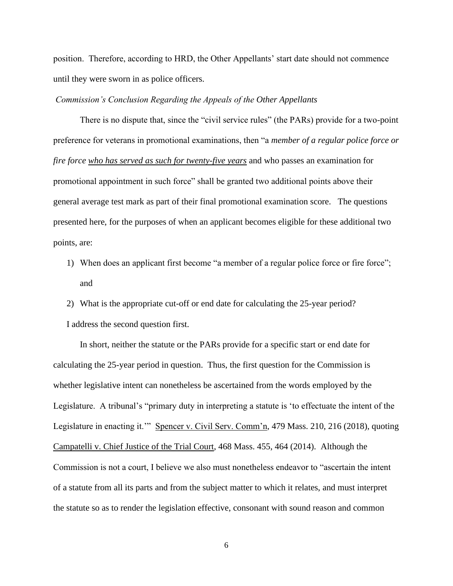position. Therefore, according to HRD, the Other Appellants' start date should not commence until they were sworn in as police officers.

*Commission's Conclusion Regarding the Appeals of the Other Appellants*

There is no dispute that, since the "civil service rules" (the PARs) provide for a two-point preference for veterans in promotional examinations, then "a *member of a regular police force or fire force who has served as such for twenty-five years* and who passes an examination for promotional appointment in such force" shall be granted two additional points above their general average test mark as part of their final promotional examination score. The questions presented here, for the purposes of when an applicant becomes eligible for these additional two points, are:

- 1) When does an applicant first become "a member of a regular police force or fire force"; and
- 2) What is the appropriate cut-off or end date for calculating the 25-year period? I address the second question first.

In short, neither the statute or the PARs provide for a specific start or end date for calculating the 25-year period in question. Thus, the first question for the Commission is whether legislative intent can nonetheless be ascertained from the words employed by the Legislature. A tribunal's "primary duty in interpreting a statute is 'to effectuate the intent of the Legislature in enacting it."" Spencer v. Civil Serv. Comm'n, 479 Mass. 210, 216 (2018), quoting Campatelli v. Chief Justice of the Trial Court, 468 Mass. 455, 464 (2014). Although the Commission is not a court, I believe we also must nonetheless endeavor to "ascertain the intent of a statute from all its parts and from the subject matter to which it relates, and must interpret the statute so as to render the legislation effective, consonant with sound reason and common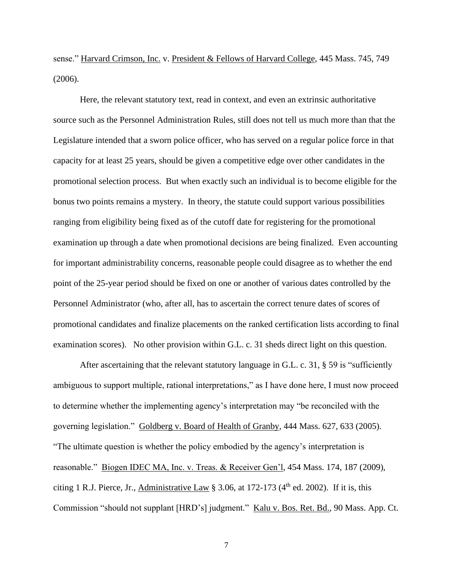sense." Harvard Crimson, Inc. v. President & Fellows of Harvard College, 445 Mass. 745, 749 (2006).

Here, the relevant statutory text, read in context, and even an extrinsic authoritative source such as the Personnel Administration Rules, still does not tell us much more than that the Legislature intended that a sworn police officer, who has served on a regular police force in that capacity for at least 25 years, should be given a competitive edge over other candidates in the promotional selection process. But when exactly such an individual is to become eligible for the bonus two points remains a mystery. In theory, the statute could support various possibilities ranging from eligibility being fixed as of the cutoff date for registering for the promotional examination up through a date when promotional decisions are being finalized. Even accounting for important administrability concerns, reasonable people could disagree as to whether the end point of the 25-year period should be fixed on one or another of various dates controlled by the Personnel Administrator (who, after all, has to ascertain the correct tenure dates of scores of promotional candidates and finalize placements on the ranked certification lists according to final examination scores). No other provision within G.L. c. 31 sheds direct light on this question.

After ascertaining that the relevant statutory language in G.L. c. 31,  $\S$  59 is "sufficiently ambiguous to support multiple, rational interpretations," as I have done here, I must now proceed to determine whether the implementing agency's interpretation may "be reconciled with the governing legislation." Goldberg v. Board of Health of Granby, 444 Mass. 627, 633 (2005). "The ultimate question is whether the policy embodied by the agency's interpretation is reasonable." Biogen IDEC MA, Inc. v. Treas. & Receiver Gen'l, 454 Mass. 174, 187 (2009), citing 1 R.J. Pierce, Jr., Administrative Law § 3.06, at  $172-173$  (4<sup>th</sup> ed. 2002). If it is, this Commission "should not supplant [HRD's] judgment." Kalu v. Bos. Ret. Bd., 90 Mass. App. Ct.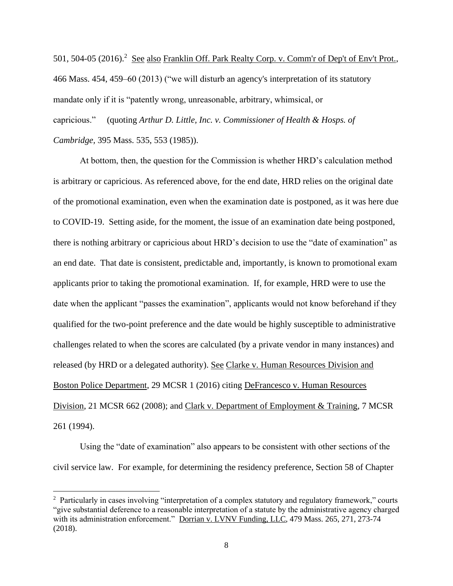501, 504-05 (2016).<sup>2</sup> See also Franklin Off. Park Realty Corp. v. Comm'r of Dep't of Env't Prot., 466 Mass. 454, 459–60 (2013) ("we will disturb an agency's interpretation of its statutory mandate only if it is "patently wrong, unreasonable, arbitrary, whimsical, or capricious." (quoting *Arthur D. Little, Inc. v. Commissioner of Health & Hosps. of Cambridge,* 395 Mass. 535, 553 (1985)).

At bottom, then, the question for the Commission is whether HRD's calculation method is arbitrary or capricious. As referenced above, for the end date, HRD relies on the original date of the promotional examination, even when the examination date is postponed, as it was here due to COVID-19. Setting aside, for the moment, the issue of an examination date being postponed, there is nothing arbitrary or capricious about HRD's decision to use the "date of examination" as an end date. That date is consistent, predictable and, importantly, is known to promotional exam applicants prior to taking the promotional examination. If, for example, HRD were to use the date when the applicant "passes the examination", applicants would not know beforehand if they qualified for the two-point preference and the date would be highly susceptible to administrative challenges related to when the scores are calculated (by a private vendor in many instances) and released (by HRD or a delegated authority). See Clarke v. Human Resources Division and Boston Police Department, 29 MCSR 1 (2016) citing DeFrancesco v. Human Resources Division, 21 MCSR 662 (2008); and Clark v. Department of Employment & Training, 7 MCSR 261 (1994).

Using the "date of examination" also appears to be consistent with other sections of the civil service law. For example, for determining the residency preference, Section 58 of Chapter

<sup>&</sup>lt;sup>2</sup> Particularly in cases involving "interpretation of a complex statutory and regulatory framework," courts "give substantial deference to a reasonable interpretation of a statute by the administrative agency charged with its administration enforcement." Dorrian v. LVNV Funding, LLC, 479 Mass. 265, 271, 273-74 (2018).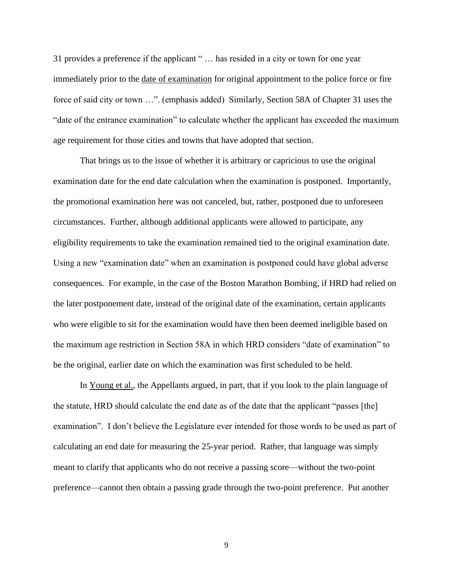31 provides a preference if the applicant " … has resided in a city or town for one year immediately prior to the date of examination for original appointment to the police force or fire force of said city or town …". (emphasis added) Similarly, Section 58A of Chapter 31 uses the "date of the entrance examination" to calculate whether the applicant has exceeded the maximum age requirement for those cities and towns that have adopted that section.

That brings us to the issue of whether it is arbitrary or capricious to use the original examination date for the end date calculation when the examination is postponed. Importantly, the promotional examination here was not canceled, but, rather, postponed due to unforeseen circumstances. Further, although additional applicants were allowed to participate, any eligibility requirements to take the examination remained tied to the original examination date. Using a new "examination date" when an examination is postponed could have global adverse consequences. For example, in the case of the Boston Marathon Bombing, if HRD had relied on the later postponement date, instead of the original date of the examination, certain applicants who were eligible to sit for the examination would have then been deemed ineligible based on the maximum age restriction in Section 58A in which HRD considers "date of examination" to be the original, earlier date on which the examination was first scheduled to be held.

In Young et al., the Appellants argued, in part, that if you look to the plain language of the statute, HRD should calculate the end date as of the date that the applicant "passes [the] examination". I don't believe the Legislature ever intended for those words to be used as part of calculating an end date for measuring the 25-year period. Rather, that language was simply meant to clarify that applicants who do not receive a passing score—without the two-point preference—cannot then obtain a passing grade through the two-point preference. Put another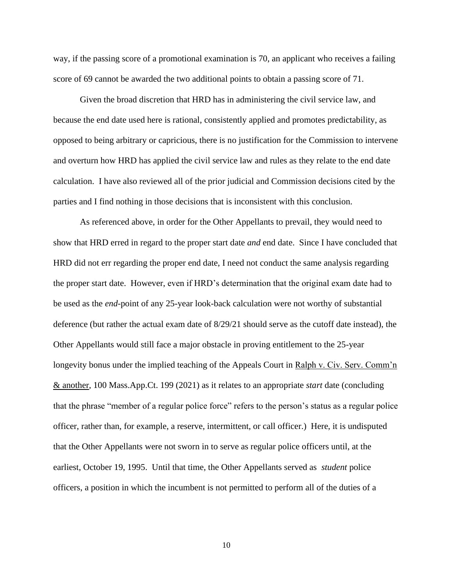way, if the passing score of a promotional examination is 70, an applicant who receives a failing score of 69 cannot be awarded the two additional points to obtain a passing score of 71.

Given the broad discretion that HRD has in administering the civil service law, and because the end date used here is rational, consistently applied and promotes predictability, as opposed to being arbitrary or capricious, there is no justification for the Commission to intervene and overturn how HRD has applied the civil service law and rules as they relate to the end date calculation. I have also reviewed all of the prior judicial and Commission decisions cited by the parties and I find nothing in those decisions that is inconsistent with this conclusion.

As referenced above, in order for the Other Appellants to prevail, they would need to show that HRD erred in regard to the proper start date *and* end date. Since I have concluded that HRD did not err regarding the proper end date, I need not conduct the same analysis regarding the proper start date. However, even if HRD's determination that the original exam date had to be used as the *end*-point of any 25-year look-back calculation were not worthy of substantial deference (but rather the actual exam date of 8/29/21 should serve as the cutoff date instead), the Other Appellants would still face a major obstacle in proving entitlement to the 25-year longevity bonus under the implied teaching of the Appeals Court in Ralph v. Civ. Serv. Comm'n & another, 100 Mass.App.Ct. 199 (2021) as it relates to an appropriate *start* date (concluding that the phrase "member of a regular police force" refers to the person's status as a regular police officer, rather than, for example, a reserve, intermittent, or call officer.) Here, it is undisputed that the Other Appellants were not sworn in to serve as regular police officers until, at the earliest, October 19, 1995. Until that time, the Other Appellants served as *student* police officers, a position in which the incumbent is not permitted to perform all of the duties of a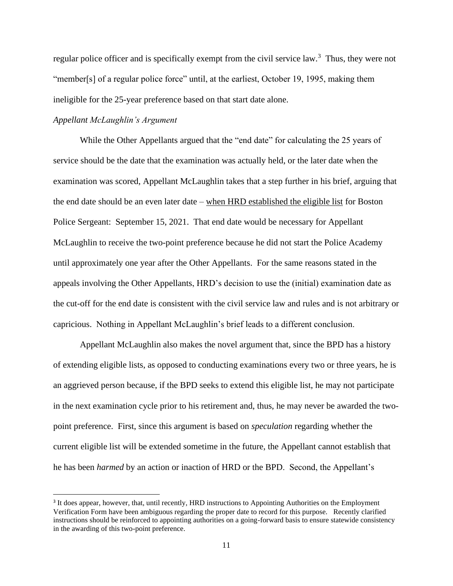regular police officer and is specifically exempt from the civil service law.<sup>3</sup> Thus, they were not "member[s] of a regular police force" until, at the earliest, October 19, 1995, making them ineligible for the 25-year preference based on that start date alone.

### *Appellant McLaughlin's Argument*

While the Other Appellants argued that the "end date" for calculating the 25 years of service should be the date that the examination was actually held, or the later date when the examination was scored, Appellant McLaughlin takes that a step further in his brief, arguing that the end date should be an even later date – when HRD established the eligible list for Boston Police Sergeant: September 15, 2021. That end date would be necessary for Appellant McLaughlin to receive the two-point preference because he did not start the Police Academy until approximately one year after the Other Appellants. For the same reasons stated in the appeals involving the Other Appellants, HRD's decision to use the (initial) examination date as the cut-off for the end date is consistent with the civil service law and rules and is not arbitrary or capricious. Nothing in Appellant McLaughlin's brief leads to a different conclusion.

Appellant McLaughlin also makes the novel argument that, since the BPD has a history of extending eligible lists, as opposed to conducting examinations every two or three years, he is an aggrieved person because, if the BPD seeks to extend this eligible list, he may not participate in the next examination cycle prior to his retirement and, thus, he may never be awarded the twopoint preference. First, since this argument is based on *speculation* regarding whether the current eligible list will be extended sometime in the future, the Appellant cannot establish that he has been *harmed* by an action or inaction of HRD or the BPD. Second, the Appellant's

<sup>&</sup>lt;sup>3</sup> It does appear, however, that, until recently, HRD instructions to Appointing Authorities on the Employment Verification Form have been ambiguous regarding the proper date to record for this purpose. Recently clarified instructions should be reinforced to appointing authorities on a going-forward basis to ensure statewide consistency in the awarding of this two-point preference.